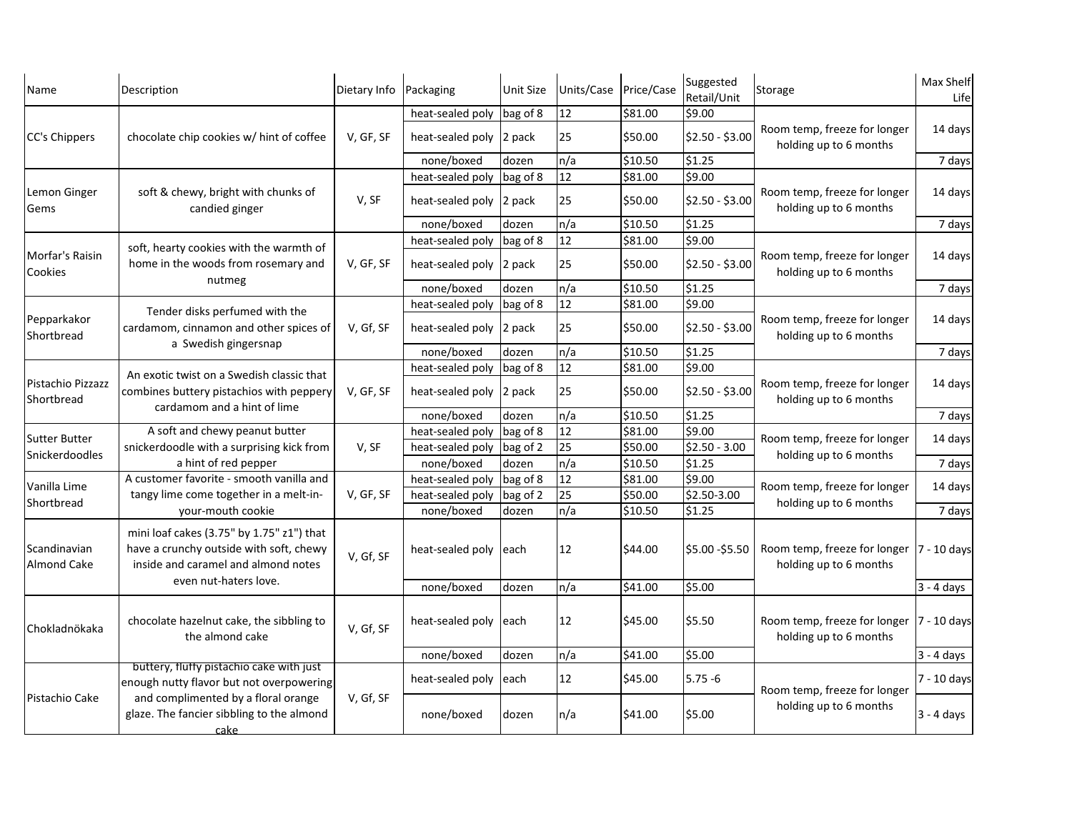| Name                                   | Description                                                                                                                                          | Dietary Info | Packaging                                               | <b>Unit Size</b> | Units/Case | Price/Case | Suggested<br>Retail/Unit | Storage                                                             | Max Shelf<br>Life |
|----------------------------------------|------------------------------------------------------------------------------------------------------------------------------------------------------|--------------|---------------------------------------------------------|------------------|------------|------------|--------------------------|---------------------------------------------------------------------|-------------------|
| CC's Chippers                          | chocolate chip cookies w/ hint of coffee                                                                                                             |              | heat-sealed poly                                        | bag of 8         | 12         | \$81.00    | \$9.00                   |                                                                     |                   |
|                                        |                                                                                                                                                      | V, GF, SF    | heat-sealed poly                                        | $ 2$ pack        | 25         | \$50.00    | $$2.50 - $3.00$          | Room temp, freeze for longer<br>holding up to 6 months              | 14 days           |
|                                        |                                                                                                                                                      |              | none/boxed                                              | dozen            | n/a        | \$10.50    | \$1.25                   |                                                                     | 7 days            |
| Lemon Ginger<br>Gems                   | soft & chewy, bright with chunks of<br>candied ginger                                                                                                | V, SF        | heat-sealed poly                                        | bag of 8         | 12         | \$81.00    | \$9.00                   | Room temp, freeze for longer<br>holding up to 6 months              |                   |
|                                        |                                                                                                                                                      |              | heat-sealed poly 2 pack                                 |                  | 25         | \$50.00    | $$2.50 - $3.00$          |                                                                     | 14 days           |
|                                        |                                                                                                                                                      |              | none/boxed                                              | dozen            | n/a        | \$10.50    | \$1.25                   |                                                                     | 7 days            |
|                                        | soft, hearty cookies with the warmth of<br>home in the woods from rosemary and<br>nutmeg                                                             |              | \$9.00<br>12<br>\$81.00<br>bag of 8<br>heat-sealed poly |                  |            |            |                          |                                                                     |                   |
| Morfar's Raisin<br><b>Cookies</b>      |                                                                                                                                                      | V, GF, SF    | heat-sealed poly 2 pack                                 |                  | 25         | \$50.00    | $$2.50 - $3.00$          | Room temp, freeze for longer<br>holding up to 6 months              | 14 days           |
|                                        |                                                                                                                                                      |              | none/boxed                                              | dozen            | n/a        | \$10.50    | \$1.25                   |                                                                     | 7 days            |
|                                        |                                                                                                                                                      |              | heat-sealed poly                                        | bag of 8         | 12         | \$81.00    | \$9.00                   |                                                                     |                   |
| Pepparkakor<br>Shortbread              | Tender disks perfumed with the<br>cardamom, cinnamon and other spices of<br>a Swedish gingersnap                                                     | V, Gf, SF    | heat-sealed poly $ 2$ pack                              |                  | 25         | \$50.00    | $$2.50 - $3.00$          | Room temp, freeze for longer<br>holding up to 6 months              | 14 days           |
|                                        |                                                                                                                                                      |              | none/boxed                                              | dozen            | n/a        | \$10.50    | \$1.25                   |                                                                     | 7 days            |
| Pistachio Pizzazz<br>Shortbread        | An exotic twist on a Swedish classic that<br>combines buttery pistachios with peppery<br>cardamom and a hint of lime                                 | V, GF, SF    | heat-sealed poly                                        | bag of 8         | 12         | \$81.00    | \$9.00                   | Room temp, freeze for longer<br>holding up to 6 months              |                   |
|                                        |                                                                                                                                                      |              | heat-sealed poly 2 pack                                 |                  | 25         | \$50.00    | $$2.50 - $3.00$          |                                                                     | 14 days           |
|                                        |                                                                                                                                                      |              | none/boxed                                              | dozen            | n/a        | \$10.50    | \$1.25                   |                                                                     | 7 days            |
| <b>Sutter Butter</b><br>Snickerdoodles | A soft and chewy peanut butter<br>snickerdoodle with a surprising kick from<br>a hint of red pepper                                                  | V, SF        | heat-sealed poly                                        | bag of 8         | 12         | \$81.00    | \$9.00                   | Room temp, freeze for longer<br>holding up to 6 months              |                   |
|                                        |                                                                                                                                                      |              | heat-sealed poly                                        | bag of 2         | 25         | \$50.00    | $$2.50 - 3.00$           |                                                                     | 14 days           |
|                                        |                                                                                                                                                      |              | none/boxed                                              | dozen            | n/a        | \$10.50    | \$1.25                   |                                                                     | 7 days            |
| Vanilla Lime                           | A customer favorite - smooth vanilla and<br>tangy lime come together in a melt-in-<br>your-mouth cookie                                              | V, GF, SF    | heat-sealed poly                                        | bag of 8         | 12         | \$81.00    | \$9.00                   | Room temp, freeze for longer<br>holding up to 6 months              |                   |
|                                        |                                                                                                                                                      |              | heat-sealed poly                                        | bag of 2         | 25         | \$50.00    | \$2.50-3.00              |                                                                     | 14 days           |
| Shortbread                             |                                                                                                                                                      |              | none/boxed                                              | dozen            | n/a        | \$10.50    | \$1.25                   |                                                                     | 7 days            |
| Scandinavian<br><b>Almond Cake</b>     | mini loaf cakes (3.75" by 1.75" z1") that<br>have a crunchy outside with soft, chewy<br>inside and caramel and almond notes<br>even nut-haters love. | V, Gf, SF    | heat-sealed poly                                        | leach            | 12         | \$44.00    | $$5.00 - $5.50$          | Room temp, freeze for longer  7 - 10 days<br>holding up to 6 months |                   |
|                                        |                                                                                                                                                      |              | none/boxed                                              | dozen            | n/a        | \$41.00    | \$5.00                   |                                                                     | $3 - 4$ days      |
| Chokladnökaka                          | chocolate hazelnut cake, the sibbling to<br>the almond cake                                                                                          | V, Gf, SF    | heat-sealed poly                                        | leach            | 12         | \$45.00    | \$5.50                   | Room temp, freeze for longer  7 - 10 days<br>holding up to 6 months |                   |
|                                        |                                                                                                                                                      |              | none/boxed                                              | dozen            | n/a        | \$41.00    | \$5.00                   |                                                                     | $3 - 4$ days      |
|                                        | buttery, fluffy pistachio cake with just                                                                                                             |              |                                                         |                  |            |            |                          |                                                                     |                   |
| Pistachio Cake                         | enough nutty flavor but not overpowering<br>and complimented by a floral orange<br>glaze. The fancier sibbling to the almond<br>cake                 | V, Gf, SF    | heat-sealed poly                                        | leach            | 12         | \$45.00    | $5.75 - 6$               | Room temp, freeze for longer                                        | 7 - 10 days       |
|                                        |                                                                                                                                                      |              | none/boxed                                              | dozen            | n/a        | \$41.00    | \$5.00                   | holding up to 6 months                                              | $3 - 4$ days      |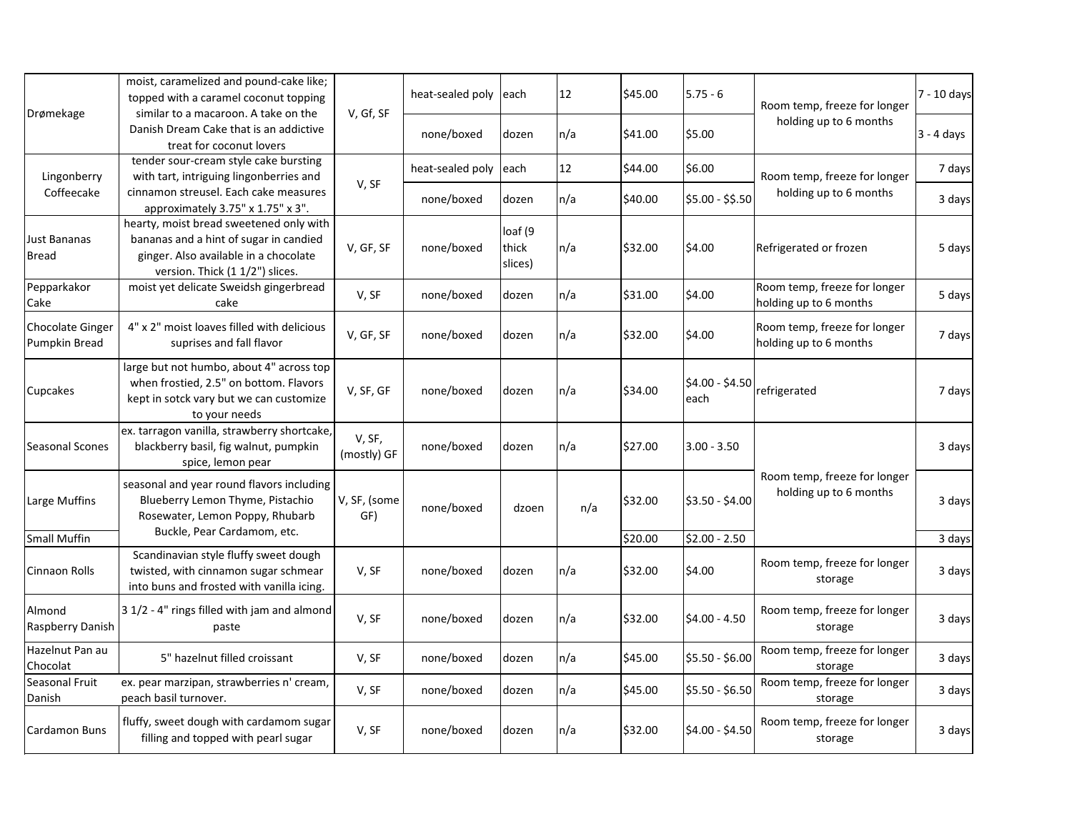|                                   | moist, caramelized and pound-cake like;<br>topped with a caramel coconut topping<br>Drømekage<br>similar to a macaroon. A take on the<br>V, Gf, SF<br>Danish Dream Cake that is an addictive<br>treat for coconut lovers |                       | heat-sealed poly each |                             | 12      | \$45.00 | $5.75 - 6$              | Room temp, freeze for longer<br>holding up to 6 months | 7 - 10 days  |
|-----------------------------------|--------------------------------------------------------------------------------------------------------------------------------------------------------------------------------------------------------------------------|-----------------------|-----------------------|-----------------------------|---------|---------|-------------------------|--------------------------------------------------------|--------------|
|                                   |                                                                                                                                                                                                                          |                       | none/boxed            | dozen                       | $\ln/a$ | \$41.00 | \$5.00                  |                                                        | $3 - 4$ days |
| Lingonberry                       | tender sour-cream style cake bursting<br>with tart, intriguing lingonberries and                                                                                                                                         | V, SF                 | heat-sealed poly each |                             | 12      | \$44.00 | \$6.00                  | Room temp, freeze for longer<br>holding up to 6 months | 7 days       |
| Coffeecake                        | cinnamon streusel. Each cake measures<br>approximately 3.75" x 1.75" x 3".                                                                                                                                               |                       | none/boxed            | dozen                       | $\ln/a$ | \$40.00 | $$5.00 - $5.50$         |                                                        | 3 days       |
| Just Bananas<br>Bread             | hearty, moist bread sweetened only with<br>bananas and a hint of sugar in candied<br>ginger. Also available in a chocolate<br>version. Thick (1 1/2") slices.                                                            | V, GF, SF             | none/boxed            | loaf (9<br>thick<br>slices) | $\ln/a$ | \$32.00 | \$4.00                  | Refrigerated or frozen                                 | 5 days       |
| Pepparkakor<br>Cake               | moist yet delicate Sweidsh gingerbread<br>cake                                                                                                                                                                           | V, SF                 | none/boxed            | dozen                       | $\ln/a$ | \$31.00 | \$4.00                  | Room temp, freeze for longer<br>holding up to 6 months | 5 days       |
| Chocolate Ginger<br>Pumpkin Bread | 4" x 2" moist loaves filled with delicious<br>suprises and fall flavor                                                                                                                                                   | V, GF, SF             | none/boxed            | dozen                       | $\ln/a$ | \$32.00 | \$4.00                  | Room temp, freeze for longer<br>holding up to 6 months | 7 days       |
| <b>Cupcakes</b>                   | large but not humbo, about 4" across top<br>when frostied, 2.5" on bottom. Flavors<br>kept in sotck vary but we can customize<br>to your needs                                                                           | V, SF, GF             | none/boxed            | dozen                       | $\ln/a$ | \$34.00 | $$4.00 - $4.50$<br>each | refrigerated                                           | 7 days       |
| Seasonal Scones                   | ex. tarragon vanilla, strawberry shortcake,<br>blackberry basil, fig walnut, pumpkin<br>spice, lemon pear                                                                                                                | V, SF,<br>(mostly) GF | none/boxed            | dozen                       | $\ln/a$ | \$27.00 | $3.00 - 3.50$           |                                                        | 3 days       |
| Large Muffins                     | seasonal and year round flavors including<br>Blueberry Lemon Thyme, Pistachio<br>Rosewater, Lemon Poppy, Rhubarb                                                                                                         | V, SF, (some<br>GF)   | none/boxed            | dzoen                       | n/a     | \$32.00 | $$3.50 - $4.00$         | Room temp, freeze for longer<br>holding up to 6 months | 3 days       |
| Small Muffin                      | Buckle, Pear Cardamom, etc.                                                                                                                                                                                              |                       |                       |                             |         | \$20.00 | $$2.00 - 2.50$          |                                                        | 3 days       |
| Cinnaon Rolls                     | Scandinavian style fluffy sweet dough<br>twisted, with cinnamon sugar schmear<br>into buns and frosted with vanilla icing.                                                                                               | V, SF                 | none/boxed            | dozen                       | $\ln/a$ | \$32.00 | \$4.00                  | Room temp, freeze for longer<br>storage                | 3 days       |
| Almond<br><b>Raspberry Danish</b> | 3 1/2 - 4" rings filled with jam and almond<br>paste                                                                                                                                                                     | V, SF                 | none/boxed            | dozen                       | $\ln/a$ | \$32.00 | $$4.00 - 4.50$          | Room temp, freeze for longer<br>storage                | 3 days       |
| Hazelnut Pan au<br>Chocolat       | 5" hazelnut filled croissant                                                                                                                                                                                             | V, SF                 | none/boxed            | dozen                       | n/a     | \$45.00 | $$5.50 - $6.00$         | Room temp, freeze for longer<br>storage                | 3 days       |
| Seasonal Fruit<br>Danish          | ex. pear marzipan, strawberries n' cream,<br>peach basil turnover.                                                                                                                                                       | V, SF                 | none/boxed            | dozen                       | $\ln/a$ | \$45.00 | $$5.50 - $6.50$         | Room temp, freeze for longer<br>storage                | 3 days       |
| Cardamon Buns                     | fluffy, sweet dough with cardamom sugar<br>filling and topped with pearl sugar                                                                                                                                           | V, SF                 | none/boxed            | dozen                       | n/a     | \$32.00 | $$4.00 - $4.50$         | Room temp, freeze for longer<br>storage                | 3 days       |